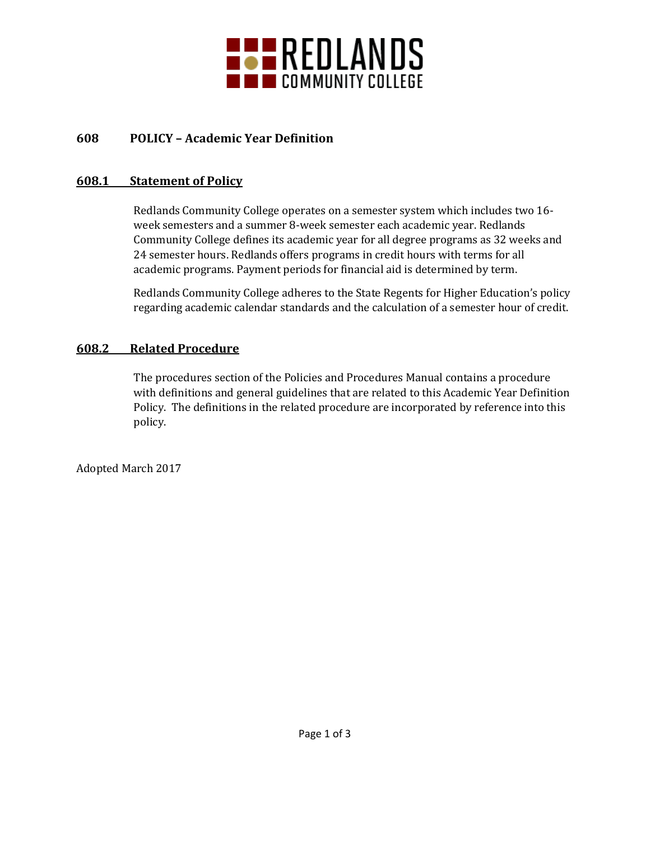

# **608 POLICY – Academic Year Definition**

### **608.1 Statement of Policy**

Redlands Community College operates on a semester system which includes two 16 week semesters and a summer 8-week semester each academic year. Redlands Community College defines its academic year for all degree programs as 32 weeks and 24 semester hours. Redlands offers programs in credit hours with terms for all academic programs. Payment periods for financial aid is determined by term.

Redlands Community College adheres to the State Regents for Higher Education's policy regarding academic calendar standards and the calculation of a semester hour of credit.

## **608.2 Related Procedure**

The procedures section of the Policies and Procedures Manual contains a procedure with definitions and general guidelines that are related to this Academic Year Definition Policy. The definitions in the related procedure are incorporated by reference into this policy.

Adopted March 2017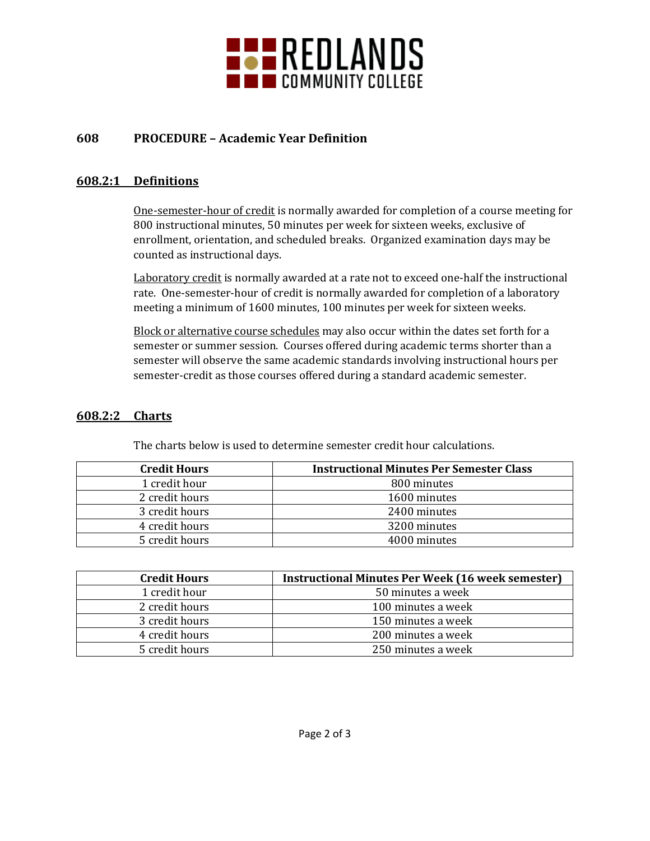

# **608 PROCEDURE – Academic Year Definition**

## **608.2:1 Definitions**

One-semester-hour of credit is normally awarded for completion of a course meeting for 800 instructional minutes, 50 minutes per week for sixteen weeks, exclusive of enrollment, orientation, and scheduled breaks. Organized examination days may be counted as instructional days.

Laboratory credit is normally awarded at a rate not to exceed one-half the instructional rate. One-semester-hour of credit is normally awarded for completion of a laboratory meeting a minimum of 1600 minutes, 100 minutes per week for sixteen weeks.

Block or alternative course schedules may also occur within the dates set forth for a semester or summer session. Courses offered during academic terms shorter than a semester will observe the same academic standards involving instructional hours per semester-credit as those courses offered during a standard academic semester.

### **608.2:2 Charts**

The charts below is used to determine semester credit hour calculations.

| <b>Credit Hours</b> | <b>Instructional Minutes Per Semester Class</b> |
|---------------------|-------------------------------------------------|
| 1 credit hour       | 800 minutes                                     |
| 2 credit hours      | 1600 minutes                                    |
| 3 credit hours      | 2400 minutes                                    |
| 4 credit hours      | 3200 minutes                                    |
| 5 credit hours      | 4000 minutes                                    |

| <b>Credit Hours</b> | <b>Instructional Minutes Per Week (16 week semester)</b> |
|---------------------|----------------------------------------------------------|
| 1 credit hour       | 50 minutes a week                                        |
| 2 credit hours      | 100 minutes a week                                       |
| 3 credit hours      | 150 minutes a week                                       |
| 4 credit hours      | 200 minutes a week                                       |
| 5 credit hours      | 250 minutes a week                                       |